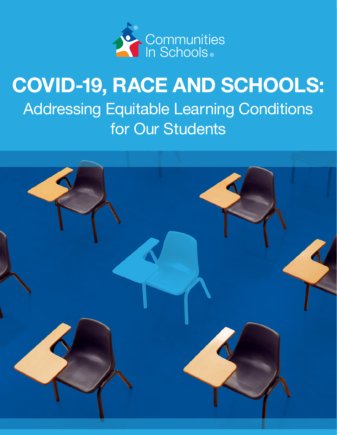

# COVID-19, RACE AND SCHOOLS: Addressing Equitable Learning Conditions for Our Students

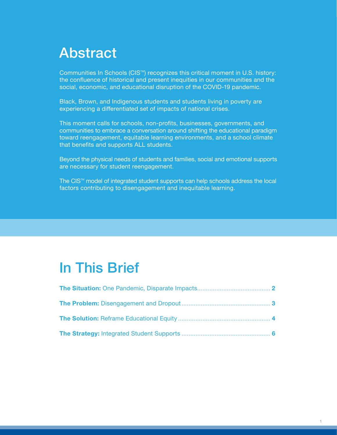## <span id="page-1-0"></span>Abstract

Communities In Schools (CIS<sup>™</sup>) recognizes this critical moment in U.S. history: the confluence of historical and present inequities in our communities and the social, economic, and educational disruption of the COVID-19 pandemic.

Black, Brown, and Indigenous students and students living in poverty are experiencing a differentiated set of impacts of national crises.

This moment calls for schools, non-profits, businesses, governments, and communities to embrace a conversation around shifting the educational paradigm toward reengagement, equitable learning environments, and a school climate that benefits and supports ALL students.

Beyond the physical needs of students and families, social and emotional supports are necessary for student reengagement.

The CIS<sup>™</sup> model of integrated student supports can help schools address the local factors contributing to disengagement and inequitable learning.

## In This Brief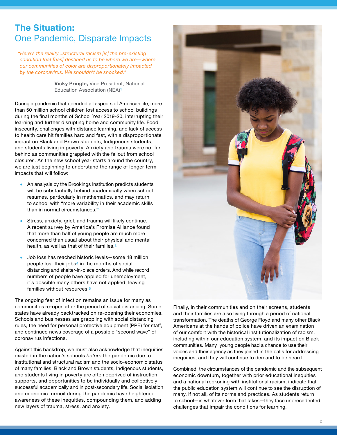### <span id="page-2-0"></span>The Situation: One Pandemic, Disparate Impacts

 *"Here's the reality...structural racism [is] the pre-existing condition that [has] destined us to be where we are—where our communities of color are disproportionately impacted by the coronavirus. We shouldn't be shocked."*

> **Vicky Pringle,** Vice President, National Education Association (NEA)1

During a pandemic that upended all aspects of American life, more than 50 million school children lost access to school buildings during the final months of School Year 2019-20, interrupting their learning and further disrupting home and community life. Food insecurity, challenges with distance learning, and lack of access to health care hit families hard and fast, with a disproportionate impact on Black and Brown students, Indigenous students, and students living in poverty. Anxiety and trauma were not far behind as communities grappled with the fallout from school closures. As the new school year starts around the country, we are just beginning to understand the range of longer-term impacts that will follow:

- An analysis by the Brookings Institution predicts students will be substantially behind academically when school resumes, particularly in mathematics, and may return to school with "more variability in their academic skills than in normal circumstances."2
- Stress, anxiety, grief, and trauma will likely continue. A recent survey by America's Promise Alliance found that more than half of young people are much more concerned than usual about their physical and mental health, as well as that of their families.3
- Job loss has reached historic levels—some 48 million people lost their jobs4 in the months of social distancing and shelter-in-place orders. And while record numbers of people have applied for unemployment, it's possible many others have not applied, leaving families without resources.5

The ongoing fear of infection remains an issue for many as communities re-open after the period of social distancing. Some states have already backtracked on re-opening their economies. Schools and businesses are grappling with social distancing rules, the need for personal protective equipment (PPE) for staff, and continued news coverage of a possible "second wave" of coronavirus infections.

Against this backdrop, we must also acknowledge that inequities existed in the nation's schools *before* the pandemic due to institutional and structural racism and the socio-economic status of many families. Black and Brown students, Indigenous students, and students living in poverty are often deprived of instruction, supports, and opportunities to be individually and collectively successful academically and in post-secondary life. Social isolation and economic turmoil during the pandemic have heightened awareness of these inequities, compounding them, and adding new layers of trauma, stress, and anxiety.



Finally, in their communities and on their screens, students and their families are also living through a period of national transformation. The deaths of George Floyd and many other Black Americans at the hands of police have driven an examination of our comfort with the historical institutionalization of racism, including within our education system, and its impact on Black communities. Many young people had a chance to use their voices and their agency as they joined in the calls for addressing inequities, and they will continue to demand to be heard.

Combined, the circumstances of the pandemic and the subsequent economic downturn, together with prior educational inequities and a national reckoning with institutional racism, indicate that the public education system will continue to see the disruption of many, if not all, of its norms and practices. As students return to school—in whatever form that takes—they face unprecedented challenges that impair the conditions for learning.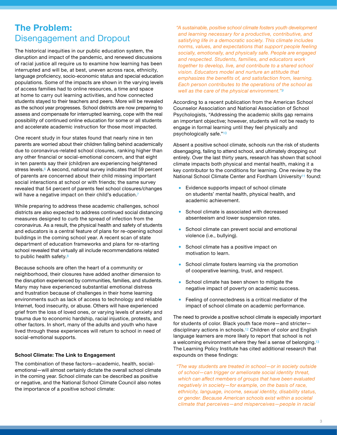## <span id="page-3-0"></span>The Problem: Disengagement and Dropout

The historical inequities in our public education system, the disruption and impact of the pandemic, and renewed discussions of racial justice all require us to examine how learning has been interrupted and will be, at best, uneven across race, ethnicity, language proficiency, socio-economic status and special education populations. Some of the impacts are shown in the varying levels of access families had to online resources, a time and space at home to carry out learning activities, and how connected students stayed to their teachers and peers. More will be revealed as the school year progresses. School districts are now preparing to assess and compensate for interrupted learning, cope with the real possibility of continued online education for some or all students and accelerate academic instruction for those most impacted.

One recent study in four states found that nearly nine in ten parents are worried about their children falling behind academically due to coronavirus-related school closures, ranking higher than any other financial or social-emotional concern, and that eight in ten parents say their (child)ren are experiencing heightened stress levels.<sup>6</sup> A second, national survey indicates that 59 percent of parents are concerned about their child missing important social interactions at school or with friends; the same survey revealed that 54 percent of parents feel school closures/changes will have a negative impact on their child's education.<sup>7</sup>

While preparing to address these academic challenges, school districts are also expected to address continued social distancing measures designed to curb the spread of infection from the coronavirus. As a result, the physical health and safety of students and educators is a central feature of plans for re-opening school buildings in the coming school year. A recent scan of state department of education frameworks and plans for re-starting school revealed that virtually all include recommendations related to public health safety.8

Because schools are often the heart of a community or neighborhood, their closures have added another dimension to the disruption experienced by communities, families, and students. Many may have experienced substantial emotional distress and frustration because of challenges in their home learning environments such as lack of access to technology and reliable Internet, food insecurity, or abuse. Others will have experienced grief from the loss of loved ones, or varying levels of anxiety and trauma due to economic hardship, racial injustice, protests, and other factors. In short, many of the adults and youth who have lived through these experiences will return to school in need of social-emotional supports.

#### School Climate: The Link to Engagement

The combination of these factors—academic, health, socialemotional—will almost certainly dictate the overall school climate in the coming year. School climate can be described as positive or negative, and the National School Climate Council also notes the importance of a positive school climate:

 *"A sustainable, positive school climate fosters youth development and learning necessary for a productive, contributive, and satisfying life in a democratic society. This climate includes norms, values, and expectations that support people feeling socially, emotionally, and physically safe. People are engaged and respected. Students, families, and educators work together to develop, live, and contribute to a shared school vision. Educators model and nurture an attitude that emphasizes the benefits of, and satisfaction from, learning. Each person contributes to the operations of the school as well as the care of the physical environment."9*

According to a recent publication from the American School Counselor Association and National Association of School Psychologists, "Addressing the academic skills gap remains an important objective; however, students will not be ready to engage in formal learning until they feel physically and psychologically safe."10

Absent a positive school climate, schools run the risk of students disengaging, failing to attend school, and ultimately dropping out entirely. Over the last thirty years, research has shown that school climate impacts both physical and mental health, making it a key contributor to the conditions for learning. One review by the National School Climate Center and Fordham University<sup>[1](#page-7-0)1</sup> found:

- Evidence supports impact of school climate on students' mental health, physical health, and academic achievement.
- School climate is associated with decreased absenteeism and lower suspension rates.
- School climate can prevent social and emotional violence (i.e., bullying).
- School climate has a positive impact on motivation to learn.
- School climate fosters learning via the promotion of cooperative learning, trust, and respect.
- School climate has been shown to mitigate the negative impact of poverty on academic success.
- Feeling of connectedness is a critical mediator of the impact of school climate on academic performance.

The need to provide a positive school climate is especially important for students of color. Black youth face more—and stricter disciplinary actions in schools.[1](#page-7-0)2 Children of color and English language learners are more likely to report that school is not a welcoming environment where they feel a sense of belonging.[13](#page-7-0) The Learning Policy Institute has cited additional research that expounds on these findings:

 *"The way students are treated in school—or in society outside of school—can trigger or ameliorate social identity threat, which can affect members of groups that have been evaluated negatively in society—for example, on the basis of race, ethnicity, language, income, sexual identity, disability status, or gender. Because American schools exist within a societal climate that perceives—and misperceives—people in racial*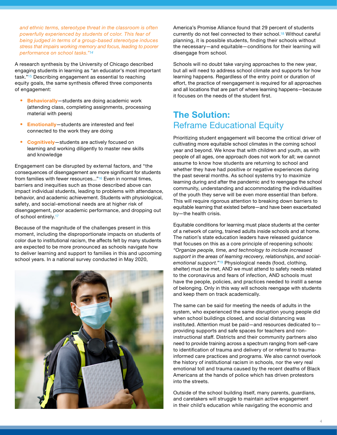<span id="page-4-0"></span>*and ethnic terms, stereotype threat in the classroom is often powerfully experienced by students of color. This fear of being judged in terms of a group-based stereotype induces stress that impairs working memory and focus, leading to poorer performance on school tasks."[14](#page-7-0)*

A research synthesis by the University of Chicago described engaging students in learning as "an educator's most important task."[1](#page-7-0)5 Describing engagement as essential to reaching equity goals, the same synthesis offered three components of engagement:

- Behaviorally-students are doing academic work (attending class, completing assignments, processing material with peers)
- Emotionally-students are interested and feel connected to the work they are doing
- Cognitively—students are actively focused on learning and working diligently to master new skills and knowledge

Engagement can be disrupted by external factors, and "the consequences of disengagement are more significant for students from families with fewer resources..."<sup>[1](#page-7-0)6</sup> Even in normal times, barriers and inequities such as those described above can impact individual students, leading to problems with attendance, behavior, and academic achievement. Students with physiological, safety, and social-emotional needs are at higher risk of disengagement, poor academic performance, and dropping out of school entirely.[1](#page-7-0)7

Because of the magnitude of the challenges present in this moment, including the disproportionate impacts on students of color due to institutional racism, the affects felt by many students are expected to be more pronounced as schools navigate how to deliver learning and support to families in this and upcoming school years. In a national survey conducted in May 2020,



America's Promise Alliance found that 29 percent of students currently do not feel connected to their school.[18](#page-7-0) Without careful planning, it is possible students, finding their schools without the necessary—and equitable—conditions for their learning will disengage from school.

Schools will no doubt take varying approaches to the new year, but all will need to address school climate and supports for how learning happens. Regardless of the entry point or duration of effort, the practice of reengagement is required for all approaches and all locations that are part of where learning happens—because it focuses on the needs of the student first.

## The Solution: Reframe Educational Equity

Prioritizing student engagement will become the critical driver of cultivating more equitable school climates in the coming school year and beyond. We know that with children and youth, as with people of all ages, one approach does not work for all; we cannot assume to know how students are returning to school and whether they have had positive or negative experiences during the past several months. As school systems try to maximize learning during and after the pandemic and to reengage the school community, understanding and accommodating the individualities of the youth they serve will be even more essential than before. This will require rigorous attention to breaking down barriers to equitable learning that existed before—and have been exacerbated by—the health crisis.

Equitable conditions for learning must place students at the center of a network of caring, trained adults inside schools and at home. The nation's state education leaders have released guidance that focuses on this as a core principle of reopening schools: *"Organize people, time, and technology to include increased support in the areas of learning recovery, relationships, and socialemotional support."*[19](#page-7-0) Physiological needs (food, clothing, shelter) must be met, AND we must attend to safety needs related to the coronavirus and fears of infection, AND schools must have the people, policies, and practices needed to instill a sense of belonging. Only in this way will schools reengage with students and keep them on track academically.

The same can be said for meeting the needs of adults in the system, who experienced the same disruption young people did when school buildings closed, and social distancing was instituted. Attention must be paid—and resources dedicated to providing supports and safe spaces for teachers and noninstructional staff. Districts and their community partners also need to provide training across a spectrum ranging from self-care to identification of trauma and delivery of or referral to traumainformed care practices and programs. We also cannot overlook the history of institutional racism in schools, nor the very real emotional toll and trauma caused by the recent deaths of Black Americans at the hands of police which has driven protestors into the streets.

Outside of the school building itself, many parents, guardians, and caretakers will struggle to maintain active engagement in their child's education while navigating the economic and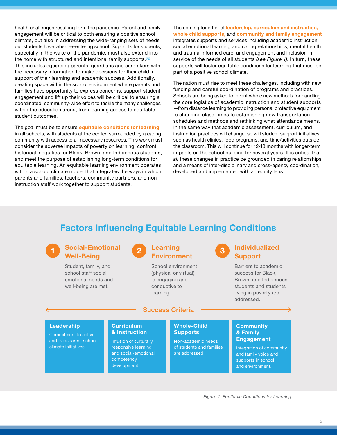health challenges resulting form the pandemic. Parent and family engagement will be critical to both ensuring a positive school climate, but also in addressing the wide-ranging sets of needs our students have when re-entering school. Supports for students, especially in the wake of the pandemic, must also extend into the home with structured and intentional family supports.20 This includes equipping parents, guardians and caretakers with the necessary information to make decisions for their child in support of their learning and academic success. Additionally, creating space within the school environment where parents and families have opportunity to express concerns, support student engagement and lift up their voices will be critical to ensuring a coordinated, community-wide effort to tackle the many challenges within the education arena, from learning access to equitable student outcomes.

The goal must be to ensure equitable conditions for learning in all schools, with students at the center, surrounded by a caring community with access to all necessary resources. This work must consider the adverse impacts of poverty on learning, confront historical inequities for Black, Brown, and Indigenous students, and meet the purpose of establishing long-term conditions for equitable learning. An equitable learning environment operates within a school climate model that integrates the ways in which parents and families, teachers, community partners, and noninstruction staff work together to support students.

#### The coming together of leadership, curriculum and instruction,

whole child supports, and community and family engagement integrates supports and services including academic instruction, social emotional learning and caring relationships, mental health and trauma-informed care, and engagement and inclusion in service of the needs of all students *(see Figure 1)*. In turn, these supports will foster equitable conditions for learning that must be part of a positive school climate.

The nation must rise to meet these challenges, including with new funding and careful coordination of programs and practices. Schools are being asked to invent whole new methods for handling the core logistics of academic instruction and student supports —from distance learning to providing personal protective equipment to changing class-times to establishing new transportation schedules and methods and rethinking what attendance means. In the same way that academic assessment, curriculum, and instruction practices will change, so will student support initiatives such as health clinics, food programs, and time/activities outside the classroom. This will continue for 12-18 months with longer-term impacts on the school building for several years. It is critical that *all* these changes in practice be grounded in caring relationships and a means of inter-disciplinary and cross-agency coordination, developed and implemented with an equity lens.

### Factors Influencing Equitable Learning Conditions



#### Social-Emotional Well-Being

Student, family, and school staff socialemotional needs and well-being are met.



2

School environment (physical or virtual) is engaging and conductive to learning.

#### Success Criteria

## 3

#### Individualized Support

Barriers to academic success for Black, Brown, and Indigenous students and students living in poverty are addressed.

#### Leadership

Commitment to active and transparent school climate initiatives.

#### **Curriculum** & Instruction

Infusion of culturally responsive learning and social-emotional competency development.

#### Whole-Child Supports

Non-academic needs of students and families are addressed.

#### **Community** & Family **Engagement**

Integration of community and family voice and supports in school and environment.

*Figure 1: Equitable Conditions for Learning*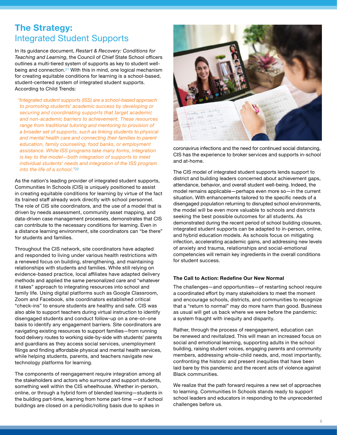### <span id="page-6-0"></span>The Strategy: Integrated Student Supports

In its guidance document, *Restart & Recovery: Conditions for Teaching and Learning*, the Council of Chief State School officers outlines a multi-tiered system of supports as key to student wellbeing and connection.[2](#page-7-0)1 With this in mind, one logical mechanism for creating equitable conditions for learning is a school-based, student-centered system of integrated student supports. According to Child Trends:

 *"Integrated student supports (ISS) are a school-based approach to promoting students' academic success by developing or securing and coordinating supports that target academic and non-academic barriers to achievement. These resources range from traditional tutoring and mentoring to provision of a broader set of supports, such as linking students to physical and mental health care and connecting their families to parent education, family counseling, food banks, or employment assistance. While ISS programs take many forms, integration is key to the model—both integration of supports to meet individual students' needs and integration of the ISS program into the life of a school.["22](#page-7-0)*

As the nation's leading provider of integrated student supports, Communities In Schools (CIS) is uniquely positioned to assist in creating equitable conditions for learning by virtue of the fact its trained staff already work directly with school personnel. The role of CIS site coordinators, and the use of a model that is driven by needs assessment, community asset mapping, and data-driven case management processes, demonstrates that CIS can contribute to the necessary conditions for learning. Even in a distance learning environment, site coordinators can "be there" for students and families.

Throughout the CIS network, site coordinators have adapted and responded to living under various health restrictions with a renewed focus on building, strengthening, and maintaining relationships with students and families. While still relying on evidence-based practice, local affiliates have adapted delivery methods and applied the same personalized care and "whatever it takes" approach to integrating resources into school and family life. Using digital platforms such as Google Classroom, Zoom and Facebook, site coordinators established critical "check-ins" to ensure students are healthy and safe. CIS was also able to support teachers during virtual instruction to identify disengaged students and conduct follow-up on a one-on-one basis to identify any engagement barriers. Site coordinators are navigating existing resources to support families—from running food delivery routes to working side-by-side with students' parents and guardians as they access social services, unemployment filings and finding affordable physical and mental health services, while helping students, parents, and teachers navigate new technology platforms for learning.

The components of reengagement require integration among all the stakeholders and actors who surround and support students, something well within the CIS wheelhouse. Whether in-person, online, or through a hybrid form of blended learning—students in the building part-time, learning from home part-time —or if school buildings are closed on a periodic/rolling basis due to spikes in



coronavirus infections and the need for continued social distancing, CIS has the experience to broker services and supports in-school and at-home.

The CIS model of integrated student supports lends support to district and building leaders concerned about achievement gaps, attendance, behavior, and overall student well-being. Indeed, the model remains applicable—perhaps even more so—in the current situation. With enhancements tailored to the specific needs of a disengaged population returning to disrupted school environments, the model will be even more valuable to schools and districts seeking the best possible outcomes for all students. As demonstrated during the recent period of school building closures, integrated student supports can be adapted to in-person, online, and hybrid education models. As schools focus on mitigating infection, accelerating academic gains, and addressing new levels of anxiety and trauma, relationships and social-emotional competencies will remain key ingredients in the overall conditions for student success.

#### The Call to Action: Redefine Our New Normal

The challenges—and opportunities—of restarting school require a coordinated effort by many stakeholders to meet the moment and encourage schools, districts, and communities to recognize that a "return to normal" may do more harm than good. Business as usual will get us back where we were before the pandemic: a system fraught with inequity and disparity.

Rather, through the process of reengagement, education can be renewed and revitalized. This will mean an increased focus on social and emotional learning, supporting adults in the school building, raising student voices, engaging parents and community members, addressing whole-child needs, and, most importantly, confronting the historic and present inequities that have been laid bare by this pandemic and the recent acts of violence against Black communities.

We realize that the path forward requires a new set of approaches to learning. Communities In Schools stands ready to support school leaders and educators in responding to the unprecedented challenges before us.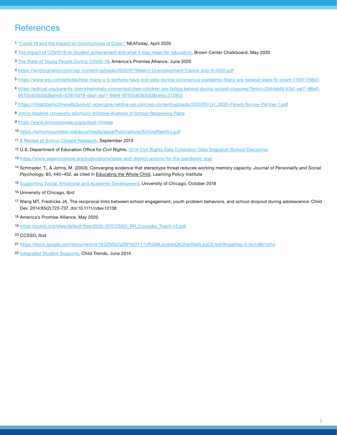## <span id="page-7-0"></span>**References**

- ["Covid-19 and the Impact on Communities of Color."](https://www.nea.org/advocating-for-change/new-from-nea/covid-19-and-impact-communities-color) NEAToday, April 2020
- [The impact of COVID19 on student achievement and what it may mean for educators](https://www.brookings.edu/blog/brown-center-chalkboard/2020/05/27/the-impact-of-covid-19-on-student-achievement-and-what-it-may-mean-for-educators/), Brown Center Chalkboard, May 2020
- [The State of Young People During COVID-19](https://www.americaspromise.org/resource/state-young-people-during-covid-19?utm_source=newsletter&utm_medium=email&utm_content=READ%20NOW%3A%20The%20State%20of%20Young%20People%20during%20COVID-19&utm_campaign=APB), America's Promise Alliance, June 2020
- <https://workingnation.com/wp-content/uploads/2020/07/Weekly-Unemployment-Claims-July-9-2020.pdf>
- <https://www.wsj.com/articles/how-many-u-s-workers-have-lost-jobs-during-coronavirus-pandemic-there-are-several-ways-to-count-11591176601>
- [https://edtrust.org/parents-overwhelmingly-concerned-their-children-are-falling-behind-during-school-closures/?emci=2544abfd-b7a1-ea11-86e9-](https://edtrust.org/parents-overwhelmingly-concerned-their-children-are-falling-behind-during-school-closures/?emci=2544abfd-b7a1-ea11-86e9-00155d03b5dd&emdi=03970d19-daa1-ea11-86e9-00155d03b5dd&ceid=273953) [00155d03b5dd&emdi=03970d19-daa1-ea11-86e9-00155d03b5dd&ceid=273953](https://edtrust.org/parents-overwhelmingly-concerned-their-children-are-falling-behind-during-school-closures/?emci=2544abfd-b7a1-ea11-86e9-00155d03b5dd&emdi=03970d19-daa1-ea11-86e9-00155d03b5dd&ceid=273953)
- [https://r50gh2ss1ic2mww8s3uvjvq1-wpengine.netdna-ssl.com/wp-content/uploads/2020/05/LH\\_2020-Parent-Survey-Partner-1.pdf](https://r50gh2ss1ic2mww8s3uvjvq1-wpengine.netdna-ssl.com/wp-content/uploads/2020/05/LH_2020-Parent-Survey-Partner-1.pdf)
- [Johns Hopkins University eSchool+ Initiative Analysis of School Reopening Plans](https://equityschoolplus.jhu.edu/reopening-policy-tracker/)
- <https://www.schoolclimate.org/school-climate>
- <https://schoolcounselor.org/asca/media/asca/Publications/SchoolReentry.pdf>
- [A Review of School Climate Research,](https://journals.sagepub.com/doi/abs/10.3102/0034654313483907) September 2013
- U.S. Department of Education Office for Civil Rights, [2014 Civil Rights Data Collection: Data Snapshot \(School Discipline\)](https://ocrdata.ed.gov/downloads/crdc-school-discipline-snapshot.pdf)
- <https://www.aspeninstitute.org/publications/state-and-district-actions-for-the-pandemic-era/>
- Schmader, T., & Johns, M. (2003). Converging evidence that stereotype threat reduces working memory capacity. *Journal of Personality and Social Psychology*, 85, 440–452, as cited in Educating the Whole Child, Learning Policy Institute
- [Supporting Social, Emotional and Academic Development,](https://consortium.uchicago.edu/sites/default/files/2019-01/Supporting%20Social%20Emotional-Oct2018-Consortium.pdf) University of Chicago, October 2018
- University of Chicago, Ibid
- Wang MT, Fredricks JA. The reciprocal links between school engagement, youth problem behaviors, and school dropout during adolescence. Child Dev. 2014;85(2):722-737. doi:10.1111/cdev.12138
- 18 America's Promise Alliance, May 2020
- [https://ccsso.org/sites/default/files/2020-07/CCSSO\\_RR\\_Consider\\_Teach-v3.pdf](https://ccsso.org/sites/default/files/2020-07/CCSSO_RR_Consider_Teach-v3.pdf)
- CCSSO, Ibid
- [https://docs.google.com/document/d/163ZNDs7sZ0FWOT7-1JFxQ9Lbo6zbQNJhaHSs0LbljCE/edit#heading=h.l4s1y8b1zzhz](https://docs.google.com/document/d/163ZNDs7sZ0FWOT7-1JFxQ9Lbo6zbQNJhaHSs0LbljCE/edit#heading=h.l4s1y)
- [Integrated Student Supports,](https://www.childtrends.org/wp-content/uploads/2014/02/2014-05ISSWhitePaper1.pdf) Child Trends, June 2014